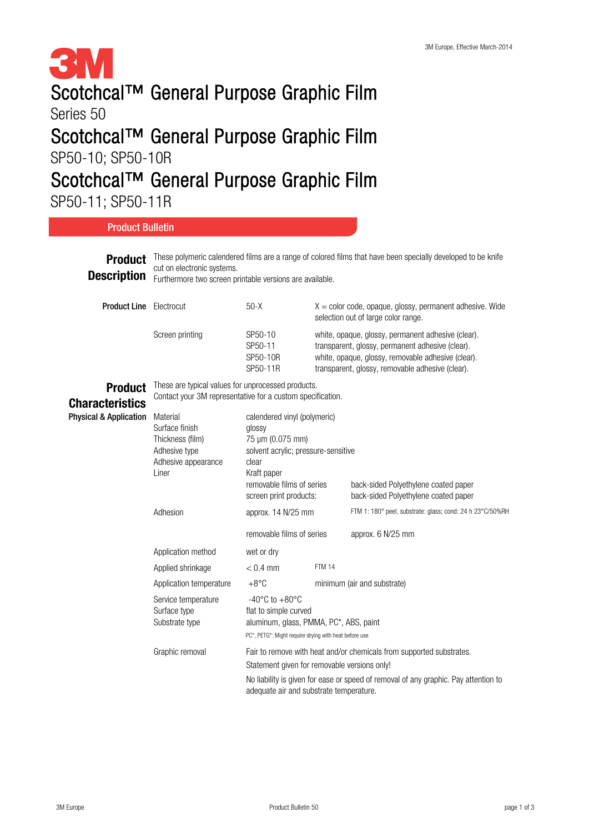

## Scotchcal™ General Purpose Graphic Film

Series 50

## Scotchcal™ General Purpose Graphic Film

SP50-10; SP50-10R

## Scotchcal™ General Purpose Graphic Film

SP50-11; SP50-11R

**Product** These polymeric calendered films are a range of colored films that have been specially developed to be knife **Description Product Line** Electrocut Product **Characteristics** Physical & Application cut on electronic systems. Furthermore two screen printable versions are available.  $50-X$   $X =$  color code, opaque, glossy, permanent adhesive. Wide selection out of large color range. Screen printing SP50-10 white, opaque, glossy, permanent adhesive (clear). SP50-11R transparent, glossy, removable adhesive (clear). These are typical values for unprocessed products. Contact your 3M representative for a custom specification. Material calendered vinyl (polymeric) SP50-11 transparent, glossy, permanent adhesive (clear). SP50-10R white, opaque, glossy, removable adhesive (clear). Adhesive appearance clear Liner Kraft paper removable films of series back-sided Polyethylene coated paper Surface finish **glossy** Thickness (film) 75 µm (0.075 mm) Adhesive type solvent acrylic; pressure-sensitive removable films of series approx. 6 N/25 mm Application method wet or dry screen print products: back-sided Polyethylene coated paper Adhesion approx. 14 N/25 mm FTM 1: 180° peel, substrate: glass; cond: 24 h 23°C/50%RH Application temperature  $+8^{\circ}$ C minimum (air and substrate) Applied shrinkage  $< 0.4$  mm FTM 14 PC\*, PETG\*: Might require drying with heat before use Graphic removal Fair to remove with heat and/or chemicals from supported substrates. Statement given for removable versions only! No liability is given for ease or speed of removal of any graphic. Pay attention to adequate air and substrate temperature. Service temperature -40°C to +80°C Surface type flat to simple curved Substrate type aluminum, glass, PMMA, PC\*, ABS, paint Product Bulletin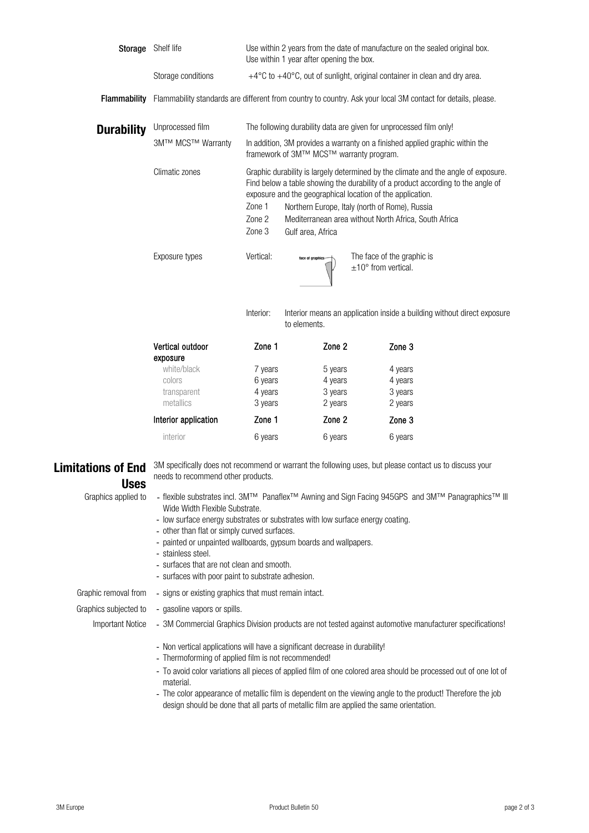| Storage             | Shelf life                                                                                                   | Use within 2 years from the date of manufacture on the sealed original box.<br>Use within 1 year after opening the box.                                                                                                              |  |  |
|---------------------|--------------------------------------------------------------------------------------------------------------|--------------------------------------------------------------------------------------------------------------------------------------------------------------------------------------------------------------------------------------|--|--|
|                     | Storage conditions                                                                                           | $+4^{\circ}$ C to $+40^{\circ}$ C, out of sunlight, original container in clean and dry area.                                                                                                                                        |  |  |
| <b>Flammability</b> | Flammability standards are different from country to country. Ask your local 3M contact for details, please. |                                                                                                                                                                                                                                      |  |  |
| <b>Durability</b>   | Unprocessed film                                                                                             | The following durability data are given for unprocessed film only!                                                                                                                                                                   |  |  |
|                     | 3M™ MCS™ Warranty                                                                                            | In addition, 3M provides a warranty on a finished applied graphic within the<br>framework of 3M™ MCS™ warranty program.                                                                                                              |  |  |
|                     | Climatic zones                                                                                               | Graphic durability is largely determined by the climate and the angle of exposure.<br>Find below a table showing the durability of a product according to the angle of<br>exposure and the geographical location of the application. |  |  |
|                     |                                                                                                              | Zone 1<br>Northern Europe, Italy (north of Rome), Russia                                                                                                                                                                             |  |  |
|                     |                                                                                                              | Zone 2<br>Mediterranean area without North Africa, South Africa                                                                                                                                                                      |  |  |
|                     |                                                                                                              | Zone 3<br>Gulf area, Africa                                                                                                                                                                                                          |  |  |
|                     | Exposure types                                                                                               | Vertical:<br>The face of the graphic is<br>face of graphics-<br>$\pm 10^{\circ}$ from vertical.                                                                                                                                      |  |  |

Interior: Interior means an application inside a building without direct exposure to elements.

| Vertical outdoor<br>exposure                      | Zone 1                                   | Zone 2                                   | Zone 3                                   |
|---------------------------------------------------|------------------------------------------|------------------------------------------|------------------------------------------|
| white/black<br>colors<br>transparent<br>metallics | 7 years<br>6 years<br>4 years<br>3 years | 5 years<br>4 years<br>3 years<br>2 years | 4 years<br>4 years<br>3 years<br>2 years |
| Interior application                              | Zone 1                                   | Zone 2                                   | Zone 3                                   |
| interior                                          | 6 years                                  | 6 years                                  | 6 years                                  |

## Uses

Graphics applied to -

**Limitations of End** 3M specifically does not recommend or warrant the following uses, but please contact us to discuss your needs to recommend other products.

- flexible substrates incl. 3M™ Panaflex™ Awning and Sign Facing 945GPS and 3M™ Panagraphics™ III Wide Width Flexible Substrate.
- low surface energy substrates or substrates with low surface energy coating.
- other than flat or simply curved surfaces.
- painted or unpainted wallboards, gypsum boards and wallpapers.
- stainless steel.
- surfaces that are not clean and smooth.
- surfaces with poor paint to substrate adhesion.

Graphic removal from - signs or existing graphics that must remain intact.

- Graphics subjected to - gasoline vapors or spills.
	- Important Notice 3M Commercial Graphics Division products are not tested against automotive manufacturer specifications!
		- Non vertical applications will have a significant decrease in durability!
		- Thermoforming of applied film is not recommended!
		- To avoid color variations all pieces of applied film of one colored area should be processed out of one lot of material.
		- The color appearance of metallic film is dependent on the viewing angle to the product! Therefore the job design should be done that all parts of metallic film are applied the same orientation.